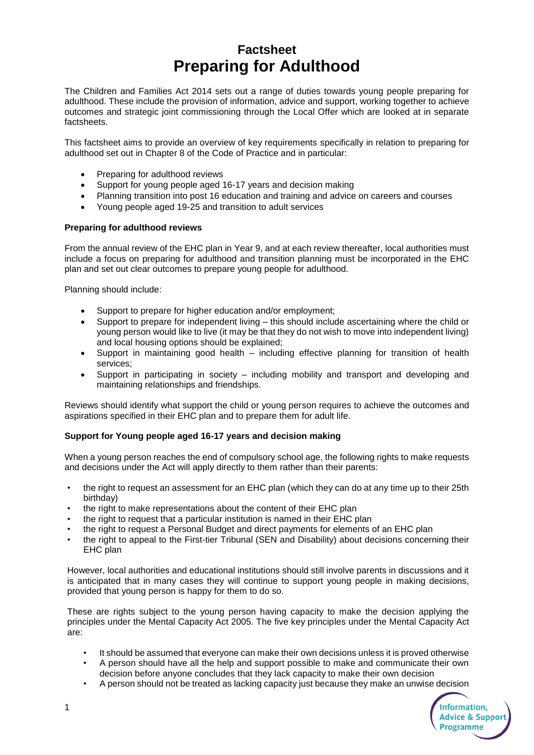# **Factsheet Preparing for Adulthood**

The Children and Families Act 2014 sets out a range of duties towards young people preparing for adulthood. These include the provision of information, advice and support, working together to achieve outcomes and strategic joint commissioning through the Local Offer which are looked at in separate factsheets.

This factsheet aims to provide an overview of key requirements specifically in relation to preparing for adulthood set out in Chapter 8 of the Code of Practice and in particular:

- Preparing for adulthood reviews
- Support for young people aged 16-17 years and decision making
- Planning transition into post 16 education and training and advice on careers and courses
- Young people aged 19-25 and transition to adult services

## **Preparing for adulthood reviews**

From the annual review of the EHC plan in Year 9, and at each review thereafter, local authorities must include a focus on preparing for adulthood and transition planning must be incorporated in the EHC plan and set out clear outcomes to prepare young people for adulthood.

Planning should include:

- Support to prepare for higher education and/or employment;
- Support to prepare for independent living this should include ascertaining where the child or young person would like to live (it may be that they do not wish to move into independent living) and local housing options should be explained;
- Support in maintaining good health including effective planning for transition of health services;
- Support in participating in society including mobility and transport and developing and maintaining relationships and friendships.

Reviews should identify what support the child or young person requires to achieve the outcomes and aspirations specified in their EHC plan and to prepare them for adult life.

## **Support for Young people aged 16-17 years and decision making**

When a young person reaches the end of compulsory school age, the following rights to make requests and decisions under the Act will apply directly to them rather than their parents:

- the right to request an assessment for an EHC plan (which they can do at any time up to their 25th birthday)
- the right to make representations about the content of their EHC plan
- the right to request that a particular institution is named in their EHC plan
- the right to request a Personal Budget and direct payments for elements of an EHC plan
- the right to appeal to the First-tier Tribunal (SEN and Disability) about decisions concerning their EHC plan

However, local authorities and educational institutions should still involve parents in discussions and it is anticipated that in many cases they will continue to support young people in making decisions, provided that young person is happy for them to do so.

These are rights subject to the young person having capacity to make the decision applying the principles under the Mental Capacity Act 2005. The five key principles under the Mental Capacity Act are:

- It should be assumed that everyone can make their own decisions unless it is proved otherwise
- A person should have all the help and support possible to make and communicate their own decision before anyone concludes that they lack capacity to make their own decision
- A person should not be treated as lacking capacity just because they make an unwise decision

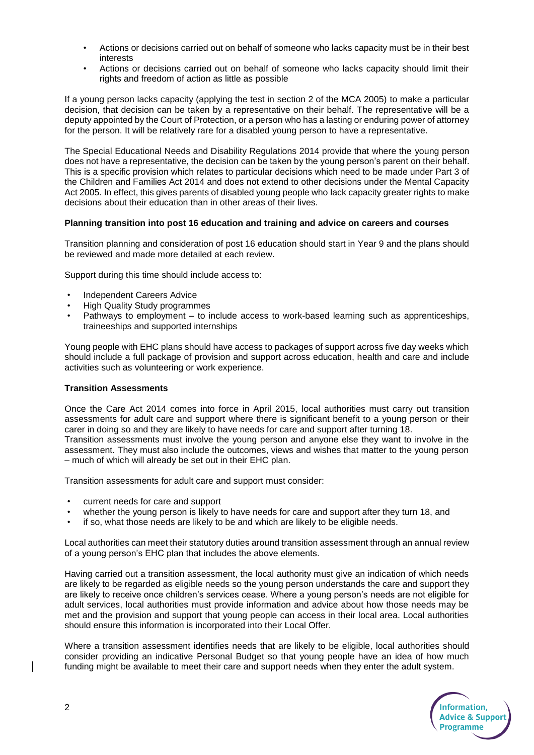- Actions or decisions carried out on behalf of someone who lacks capacity must be in their best interests
- Actions or decisions carried out on behalf of someone who lacks capacity should limit their rights and freedom of action as little as possible

If a young person lacks capacity (applying the test in section 2 of the MCA 2005) to make a particular decision, that decision can be taken by a representative on their behalf. The representative will be a deputy appointed by the Court of Protection, or a person who has a lasting or enduring power of attorney for the person. It will be relatively rare for a disabled young person to have a representative.

The Special Educational Needs and Disability Regulations 2014 provide that where the young person does not have a representative, the decision can be taken by the young person's parent on their behalf. This is a specific provision which relates to particular decisions which need to be made under Part 3 of the Children and Families Act 2014 and does not extend to other decisions under the Mental Capacity Act 2005. In effect, this gives parents of disabled young people who lack capacity greater rights to make decisions about their education than in other areas of their lives.

#### **Planning transition into post 16 education and training and advice on careers and courses**

Transition planning and consideration of post 16 education should start in Year 9 and the plans should be reviewed and made more detailed at each review.

Support during this time should include access to:

- Independent Careers Advice
- High Quality Study programmes
- Pathways to employment to include access to work-based learning such as apprenticeships, traineeships and supported internships

Young people with EHC plans should have access to packages of support across five day weeks which should include a full package of provision and support across education, health and care and include activities such as volunteering or work experience.

## **Transition Assessments**

Once the Care Act 2014 comes into force in April 2015, local authorities must carry out transition assessments for adult care and support where there is significant benefit to a young person or their carer in doing so and they are likely to have needs for care and support after turning 18. Transition assessments must involve the young person and anyone else they want to involve in the

assessment. They must also include the outcomes, views and wishes that matter to the young person – much of which will already be set out in their EHC plan.

Transition assessments for adult care and support must consider:

- current needs for care and support
- whether the young person is likely to have needs for care and support after they turn 18, and
- if so, what those needs are likely to be and which are likely to be eligible needs.

Local authorities can meet their statutory duties around transition assessment through an annual review of a young person's EHC plan that includes the above elements.

Having carried out a transition assessment, the local authority must give an indication of which needs are likely to be regarded as eligible needs so the young person understands the care and support they are likely to receive once children's services cease. Where a young person's needs are not eligible for adult services, local authorities must provide information and advice about how those needs may be met and the provision and support that young people can access in their local area. Local authorities should ensure this information is incorporated into their Local Offer.

Where a transition assessment identifies needs that are likely to be eligible, local authorities should consider providing an indicative Personal Budget so that young people have an idea of how much funding might be available to meet their care and support needs when they enter the adult system.